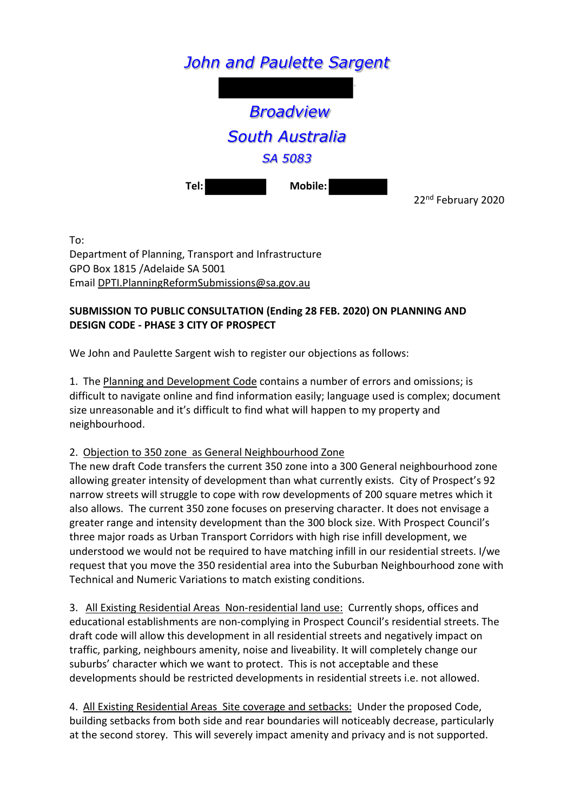# *John and Paulette Sargent*



**Tel: Mobile:** 

22nd February 2020

To:

Department of Planning, Transport and Infrastructure GPO Box 1815 /Adelaide SA 5001 Email [DPTI.PlanningReformSubmissions@sa.gov.au](mailto:DPTI.PlanningReformSubmissions@sa.gov.au) 

## **SUBMISSION TO PUBLIC CONSULTATION (Ending 28 FEB. 2020) ON PLANNING AND DESIGN CODE - PHASE 3 CITY OF PROSPECT**

We John and Paulette Sargent wish to register our objections as follows:

1. The Planning and Development Code contains a number of errors and omissions; is difficult to navigate online and find information easily; language used is complex; document size unreasonable and it's difficult to find what will happen to my property and neighbourhood.

### 2. Objection to 350 zone as General Neighbourhood Zone

The new draft Code transfers the current 350 zone into a 300 General neighbourhood zone allowing greater intensity of development than what currently exists. City of Prospect's 92 narrow streets will struggle to cope with row developments of 200 square metres which it also allows. The current 350 zone focuses on preserving character. It does not envisage a greater range and intensity development than the 300 block size. With Prospect Council's three major roads as Urban Transport Corridors with high rise infill development, we understood we would not be required to have matching infill in our residential streets. I/we request that you move the 350 residential area into the Suburban Neighbourhood zone with Technical and Numeric Variations to match existing conditions.

3. All Existing Residential Areas Non-residential land use: Currently shops, offices and educational establishments are non-complying in Prospect Council's residential streets. The draft code will allow this development in all residential streets and negatively impact on traffic, parking, neighbours amenity, noise and liveability. It will completely change our suburbs' character which we want to protect. This is not acceptable and these developments should be restricted developments in residential streets i.e. not allowed.

4. All Existing Residential Areas Site coverage and setbacks: Under the proposed Code, building setbacks from both side and rear boundaries will noticeably decrease, particularly at the second storey. This will severely impact amenity and privacy and is not supported.